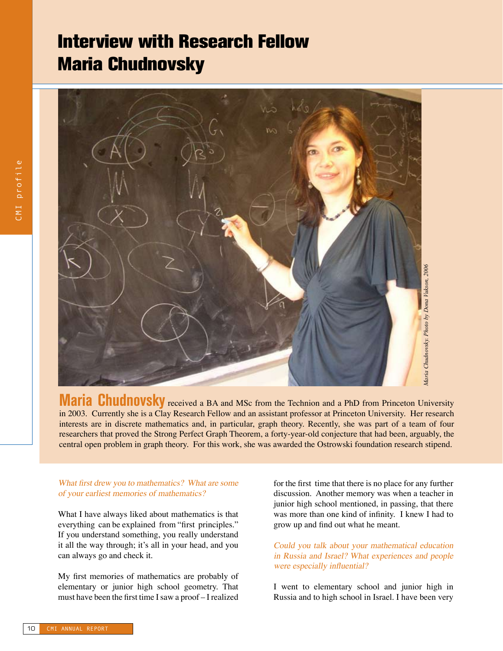# Interview with Research Fellow Maria Chudnovsky



**Maria** Chudnovsky received a BA and MSc from the Technion and a PhD from Princeton University in 2003. Currently she is a Clay Research Fellow and an assistant professor at Princeton University. Her research interests are in discrete mathematics and, in particular, graph theory. Recently, she was part of a team of four researchers that proved the Strong Perfect Graph Theorem, a forty-year-old conjecture that had been, arguably, the central open problem in graph theory. For this work, she was awarded the Ostrowski foundation research stipend.

# What first drew you to mathematics? What are some of your earliest memories of mathematics?

What I have always liked about mathematics is that everything can be explained from "first principles." If you understand something, you really understand it all the way through; it's all in your head, and you can always go and check it.

My first memories of mathematics are probably of elementary or junior high school geometry. That must have been the first time I saw a proof – I realized for the first time that there is no place for any further discussion. Another memory was when a teacher in junior high school mentioned, in passing, that there was more than one kind of infinity. I knew I had to grow up and find out what he meant.

## Could you talk about your mathematical education in Russia and Israel? What experiences and people were especially influential?

I went to elementary school and junior high in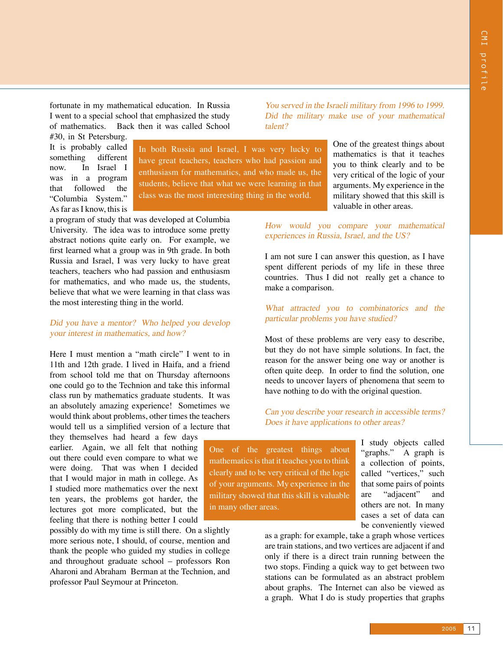fortunate in my mathematical education. In Russia I went to a special school that emphasized the study of mathematics. Back then it was called School

#30, in St Petersburg. It is probably called something different now. In Israel I was in a program that followed the "Columbia System." As far as I know, this is

In both Russia and Israel, I was very lucky to have great teachers, teachers who had passion and enthusiasm for mathematics, and who made us, the students, believe that what we were learning in that class was the most interesting thing in the world.

a program of study that was developed at Columbia University. The idea was to introduce some pretty abstract notions quite early on. For example, we first learned what a group was in 9th grade. In both Russia and Israel, I was very lucky to have great teachers, teachers who had passion and enthusiasm for mathematics, and who made us, the students, believe that what we were learning in that class was the most interesting thing in the world.

#### Did you have <sup>a</sup> mentor? Who helped you develop your interest in mathematics, and how?

Here I must mention a "math circle" I went to in 11th and 12th grade. I lived in Haifa, and a friend from school told me that on Thursday afternoons one could go to the Technion and take this informal class run by mathematics graduate students. It was an absolutely amazing experience! Sometimes we would think about problems, other times the teachers would tell us a simplified version of a lecture that

they themselves had heard a few days earlier. Again, we all felt that nothing out there could even compare to what we were doing. That was when I decided that I would major in math in college. As I studied more mathematics over the next ten years, the problems got harder, the lectures got more complicated, but the feeling that there is nothing better I could

possibly do with my time is still there. On a slightly more serious note, I should, of course, mention and thank the people who guided my studies in college and throughout graduate school – professors Ron Aharoni and Abraham Berman at the Technion, and professor Paul Seymour at Princeton.

You served in the Israeli military from 1996 to 1999. Did the military make use of your mathematical talent?

> One of the greatest things about mathematics is that it teaches you to think clearly and to be very critical of the logic of your arguments. My experience in the military showed that this skill is valuable in other areas.

How would you compare your mathematical experiences in Russia, Israel, and the US?

I am not sure I can answer this question, as I have spent different periods of my life in these three countries. Thus I did not really get a chance to make a comparison.

What attracted you to combinatorics and the particular problems you have studied?

Most of these problems are very easy to describe, but they do not have simple solutions. In fact, the reason for the answer being one way or another is often quite deep. In order to find the solution, one needs to uncover layers of phenomena that seem to have nothing to do with the original question.

Can you describe your research in accessible terms? Does it have applications to other areas?

One of the greatest things about mathematics is that it teaches you to think clearly and to be very critical of the logic of your arguments. My experience in the military showed that this skill is valuable in many other areas.

I study objects called "graphs." A graph is a collection of points, called "vertices," such that some pairs of points are "adjacent" and others are not. In many cases a set of data can be conveniently viewed

as a graph: for example, take a graph whose vertices are train stations, and two vertices are adjacent if and only if there is a direct train running between the two stops. Finding a quick way to get between two stations can be formulated as an abstract problem about graphs. The Internet can also be viewed as a graph. What I do is study properties that graphs